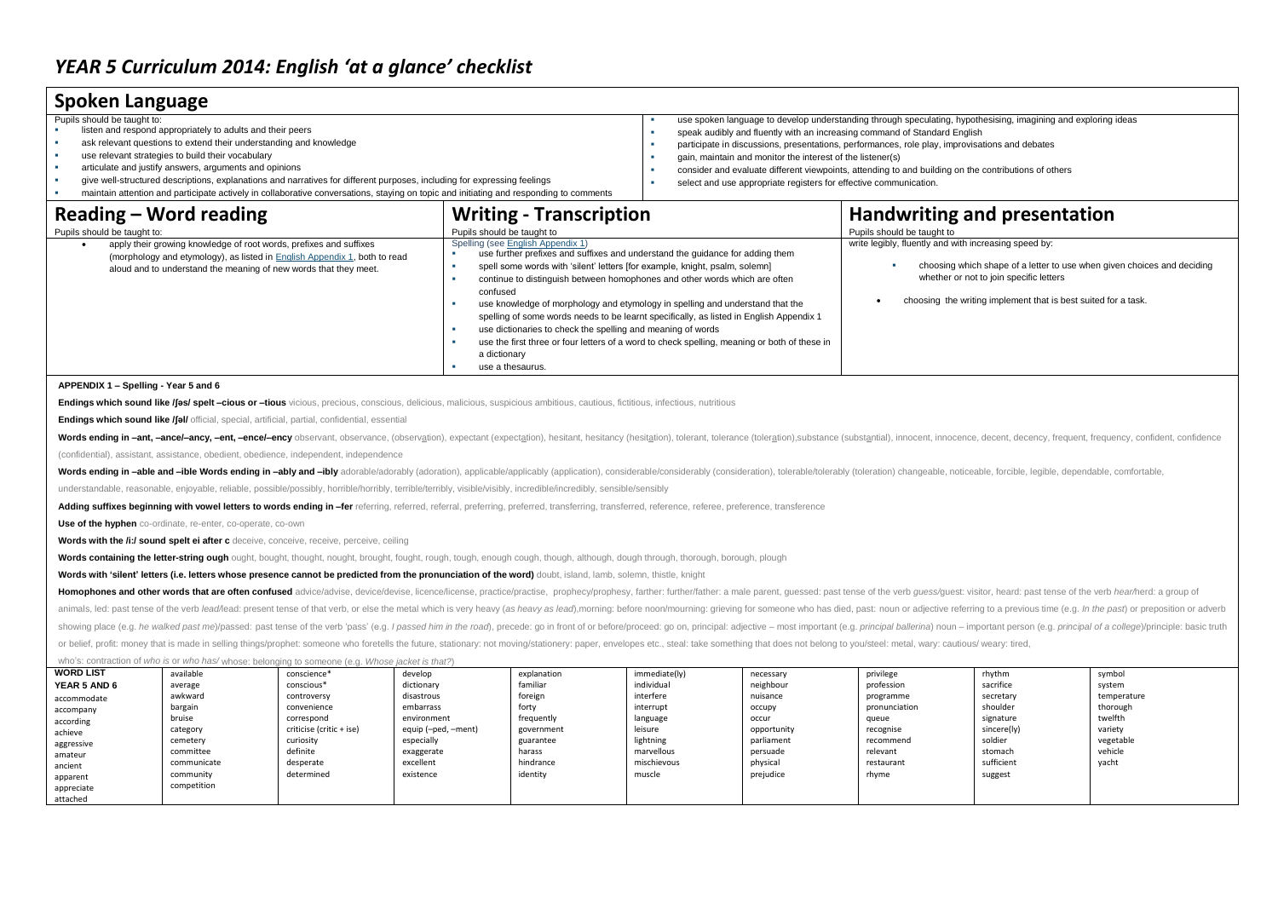## **Spoken Language**

| <b><i>JUUREH LAHEUAST</i></b> |                                                                                                                                        |  |                                                                                                                |  |  |  |
|-------------------------------|----------------------------------------------------------------------------------------------------------------------------------------|--|----------------------------------------------------------------------------------------------------------------|--|--|--|
| Pupils should be taught to:   |                                                                                                                                        |  | use spoken language to develop understanding through speculating, hypothesising, imagining and exploring ideas |  |  |  |
|                               | listen and respond appropriately to adults and their peers                                                                             |  | speak audibly and fluently with an increasing command of Standard English                                      |  |  |  |
|                               | ask relevant questions to extend their understanding and knowledge                                                                     |  | participate in discussions, presentations, performances, role play, improvisations and debates                 |  |  |  |
|                               | use relevant strategies to build their vocabulary                                                                                      |  | gain, maintain and monitor the interest of the listener(s)                                                     |  |  |  |
|                               | articulate and justify answers, arguments and opinions                                                                                 |  | consider and evaluate different viewpoints, attending to and building on the contributions of others           |  |  |  |
|                               | give well-structured descriptions, explanations and narratives for different purposes, including for expressing feelings               |  | select and use appropriate registers for effective communication.                                              |  |  |  |
|                               | maintain attention and participate actively in collaborative conversations, staying on topic and initiating and responding to comments |  |                                                                                                                |  |  |  |

| Reading – Word reading                                                                                                                                                                                                      | <b>Writing - Transcription</b>                                                                                                                                                                                                                                                                                                                                                                                                                                                                                                                                                                                                                                             | <b>Handwriting and presentation</b>                                                                                                                                                                                                           |  |  |  |
|-----------------------------------------------------------------------------------------------------------------------------------------------------------------------------------------------------------------------------|----------------------------------------------------------------------------------------------------------------------------------------------------------------------------------------------------------------------------------------------------------------------------------------------------------------------------------------------------------------------------------------------------------------------------------------------------------------------------------------------------------------------------------------------------------------------------------------------------------------------------------------------------------------------------|-----------------------------------------------------------------------------------------------------------------------------------------------------------------------------------------------------------------------------------------------|--|--|--|
| Pupils should be taught to:                                                                                                                                                                                                 | Pupils should be taught to                                                                                                                                                                                                                                                                                                                                                                                                                                                                                                                                                                                                                                                 | Pupils should be taught to                                                                                                                                                                                                                    |  |  |  |
| apply their growing knowledge of root words, prefixes and suffixes<br>(morphology and etymology), as listed in <b>English Appendix 1</b> , both to read<br>aloud and to understand the meaning of new words that they meet. | Spelling (see English Appendix 1)<br>use further prefixes and suffixes and understand the quidance for adding them<br>spell some words with 'silent' letters [for example, knight, psalm, solemn]<br>continue to distinguish between homophones and other words which are often<br>confused<br>use knowledge of morphology and etymology in spelling and understand that the<br>spelling of some words needs to be learnt specifically, as listed in English Appendix 1<br>use dictionaries to check the spelling and meaning of words<br>use the first three or four letters of a word to check spelling, meaning or both of these in<br>a dictionary<br>use a thesaurus. | write legibly, fluently and with increasing speed by:<br>choosing which shape of a letter to use when given choices and deciding<br>whether or not to join specific letters<br>choosing the writing implement that is best suited for a task. |  |  |  |

## **APPENDIX 1 – Spelling - Year 5 and 6**

**Endings which sound like /ʃəs/ spelt –cious or –tious** vicious, precious, conscious, delicious, malicious, suspicious ambitious, cautious, fictitious, infectious, nutritious

**Endings which sound like /ʃəl/** official, special, artificial, partial, confidential, essential

Words ending in -ant, -ance/-ancy, -ent, -ence/-ency observant, observance, (observation), expectant (expectation), hesitant, hesitancy (hesitation), tolerant, tolerance (toleration), substance (substantial), substance (su

(confidential), assistant, assistance, obedient, obedience, independent, independence

Words ending in -able and -ible Words ending in -ably and -ibly adorable/adorably (adoration), applicable/applicably (application), considerable/considerably (consideration), tolerable/tolerably (toleration) changeable, no

understandable, reasonable, enjoyable, reliable, possible/possibly, horrible/horribly, terrible/terribly, visible/visibly, incredible/incredibly, sensible/sensibly

Adding suffixes beginning with vowel letters to words ending in -fer referring, referred, referral, preferring, preferred, transferring, transferred, reference, reference, referee, preference, transference

**Use of the hyphen** co-ordinate, re-enter, co-operate, co-own

**Words with the /i:/ sound spelt ei after c** deceive, conceive, receive, perceive, ceiling

Words containing the letter-string ough ought, bought, thought, nought, brought, fough, tough, enough cough, though, although, dough through, thorough, borough, plough

**Words with 'silent' letters (i.e. letters whose presence cannot be predicted from the pronunciation of the word)** doubt, island, lamb, solemn, thistle, knight

Homophones and other words that are often confused advice/advise, device/devise, licence/license, practice/practise, prophecy/prophesy, farther: further/father: a male parent, quessed: past tense of the verb quess/quest: v

animals, led: past tense of the verb lead/ead: present tense of that verb, or else the metal which is very heavy (as heavy as lead), morning: before noon/mourning: grieving for someone who has died, past: noun or adjective showing place (e.g. he walked past me)/passed: past tense of the verb 'pass' (e.g. I passed him in the road), precede: go in front of or before/proceed: go on, principal: adjective - most important (e.g. principal ballerin or belief, profit: money that is made in selling things/prophet: someone who foretells the future, stationary: not moving/stationery: paper, envelopes etc., steal: take something that does not belong to you/steel: metal, w

who's: contraction of *who is* or *who has/* whose: belonging to someone (e.g. *Whose jacket is that?*)

| This of commander of this is of this has twisted. Doloriging to compone fold, through donor to that, |             |                          |                     |             |               |             |               |             |             |
|------------------------------------------------------------------------------------------------------|-------------|--------------------------|---------------------|-------------|---------------|-------------|---------------|-------------|-------------|
| <b>WORD LIST</b>                                                                                     | available   | conscience*              | develop             | explanation | immediate(ly) | necessary   | privilege     | rhythm      | symbol      |
| YEAR 5 AND 6                                                                                         | average     | conscious*               | dictionary          | familiar    | individual    | neighbour   | profession    | sacrifice   | system      |
| accommodate                                                                                          | awkward     | controversy              | disastrous          | foreign     | interfere     | nuisance    | programme     | secretary   | temperature |
| accompany                                                                                            | bargain     | convenience              | embarrass           | forty       | interrupt     | occupy      | pronunciation | shoulder    | thorough    |
| according                                                                                            | bruise      | correspond               | environment         | frequently  | language      | occur       | queue         | signature   | twelfth     |
| achieve                                                                                              | category    | criticise (critic + ise) | equip (-ped, -ment) | government  | leisure       | opportunity | recognise     | sincere(ly) | variety     |
| aggressive                                                                                           | cemetery    | curiosity                | especially          | guarantee   | lightning     | parliament  | recommend     | soldier     | vegetable   |
| amateur                                                                                              | committee   | definite                 | exaggerate          | harass      | marvellous    | persuade    | relevant      | stomach     | vehicle     |
| ancient                                                                                              | communicate | desperate                | excellent           | hindrance   | mischievous   | physical    | restaurant    | sufficient  | yacht       |
| apparent                                                                                             | community   | determined               | existence           | identity    | muscle        | prejudice   | rhyme         | suggest     |             |
| appreciate                                                                                           | competition |                          |                     |             |               |             |               |             |             |
| attached                                                                                             |             |                          |                     |             |               |             |               |             |             |